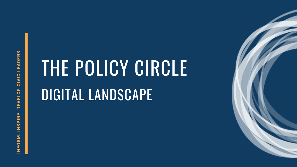**Z FORZ**<br>5<br>Σ <u>(၇</u> **PIR E. D EVELO**<u>ا م</u> **CIVIC LEADER**<u>က်</u>

# THE POLICY CIRCLE DIGITAL LANDSCAPE

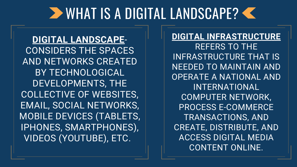### **EXAMPLE AND SCAPE?**

**DIGITAL LANDSCAPE**-CONSIDERS THE SPACES AND NETWORKS CREATED BY TECHNOLOGICAL DEVELOPMENTS, THE COLLECTIVE OF WEBSITES, EMAIL, SOCIAL NETWORKS, MOBILE DEVICES (TABLETS, IPHONES, SMARTPHONES), VIDEOS (YOUTUBE), ETC.

**DIGITAL INFRASTRUCTURE** REFERS TO THE INFRASTRUCTURE THAT IS NEEDED TO MAINTAIN AND OPERATE A NATIONAL AND INTERNATIONAL COMPUTER NETWORK, PROCESS E-COMMERCE TRANSACTIONS, AND CREATE, DISTRIBUTE, AND ACCESS DIGITAL MEDIA CONTENT ONLINE.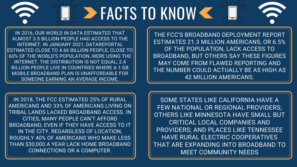THE FCC'S BROADBAND DEPLOYMENT REPORT ESTIMATES 21.3 MILLION AMERICANS, OR 6.5% OF THE POPULATION, LACK ACCESS TO BROADBAND, BUT OTHERS SAY THESE FIGURES MAY COME FROM FLAWED REPORTING AND THE NUMBER COULD ACTUALLY BE AS HIGH AS 42 MILLION AMERICANS.

SOME STATES LIKE CALIFORNIA HAVE A FEW NATIONAL OR REGIONAL PROVIDERS; OTHERS LIKE MINNESOTA HAVE SMALL BUT CRITICAL LOCAL COMPANIES AND PROVIDERS; AND PLACES LIKE TENNESSEE HAVE RURAL ELECTRIC COOPERATIVES THAT ARE EXPANDING INTO BROADBAND TO MEET COMMUNITY NEEDS



# E > FACTS TO KNOW<

IN 2016, OUR WORLD IN DATA ESTIMATED THAT ALMOST 3.5 BILLION PEOPLE HAD ACCESS TO THE INTERNET. IN JANUARY 2021, DATAREPORTAL ESTIMATED CLOSE TO 4.66 BILLION PEOPLE, CLOSE TO 60% OF THE WORLD'S POPULATION, WERE USING THE INTERNET. THE DISTRIBUTION IS NOT EQUAL; 2.4 BILLION PEOPLE LIVE IN COUNTRIES WHERE A 1-GB MOBILE BROADBAND PLAN IS UNAFFORDABLE FOR SOMEONE EARNING AN AVERAGE INCOME.

IN 2018, THE FCC ESTIMATED 25% OF RURAL AMERICANS AND 33% OF AMERICANS LIVING ON TRIBAL LANDS LACKED BROADBAND ACCESS. IN CITIES, MANY PEOPLE CAN'T AFFORD BROADBAND, EVEN IF THEY HAVE ACCESS TO IT IN THE CITY. REGARDLESS OF LOCATION, ROUGHLY 40% OF AMERICANS WHO MAKE LESS THAN \$30,000 A YEAR LACK HOME BROADBAND CONNECTIONS OR A COMPUTER.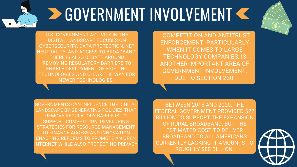BETWEEN 2015 AND 2020, THE FEDERAL GOVERNMENT PROVIDED \$22 BILLION TO SUPPORT THE EXPANSION OF RURAL BROADBAND, BUT THE ESTIMATED COST TO DELIVER BROADBAND TO ALL AMERICANS CURRENTLY LACKING IT AMOUNTS TO ROUGHLY \$80 BILLION.





GOVERNMENTS CAN INFLUENCE THE DIGITAL LANDSCAPE BY GENERATING POLICIES THAT REMOVE REGULATORY BARRIERS TO SUPPORT COMPETITION, DEVELOPING STRATEGIES FOR RESOURCE MANAGEMENT TO FINANCE ACCESS AND INNOVATION ENACTING REFORMS TO PROMOTE AN OPEN INTERNET WHILE ALSO PROTECTING PRIVACY

## **DE GOVERNMENT INVOLVEMENT <<**

U.S. GOVERNMENT ACTIVITY IN THE DIGITAL LANDSCAPE FOCUSES ON CYBERSECURITY, DATA PROTECTION, NET NEUTRALITY, AND ACCESS TO BROADBAND. THERE IS ALSO DEBATE AROUND REMOVING REGULATORY BARRIERS TO ENABLE DEPLOYMENT OF EXISTING TECHNOLOGIES AND CLEAR THE WAY FOR NEWER TECHNOLOGIES.

COMPETITION AND ANTITRUST ENFORCEMENT, PARTICULARLY WHEN IT COMES TO LARGE TECHNOLOGY COMPANIES, IS ANOTHER IMPORTANT AREA OF GOVERNMENT INVOLVEMENT, DUE TO SECTION 230.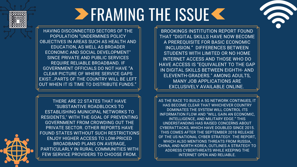THERE ARE 22 STATES THAT HAVE "SUBSTANTIVE ROADBLOCKS TO ESTABLISHING MUNICIPAL NETWORKS TO RESIDENTS, " WITH THE GOAL OF PREVENTING GOVERNMENT FROM CROWDING OUT THE PRIVATE SECTOR. OTHER REPORTS HAVE FOUND STATES WITHOUT SUCH RESTRICTIONS ENJOY HIGHER ACCESS TO LOW-PRICED BROADBAND PLANS ON AVERAGE, PARTICULARLY IN RURAL COMMUNITIES WITH FEW SERVICE PROVIDERS TO CHOOSE FROM.

AS THE RACE TO BUILD A 5G NETWORK CONTINUES, IT HAS BECOME CLEAR THAT WHICHEVER COUNTRY DOMINATES THE SYSTEM WILL CONTROL ITS INFORMATION FLOW AND "WILL GAIN AN ECONOMIC, INTELLIGENCE, AND MILITARY EDGE." THIS UNDERSTANDING HAS RAISED CONCERNS ABOUT CYBERATTACKS, WHICH HAVE DOUBLED SINCE 2015. THIS COMES AFTER THE SEPTEMBER 2018 RELEASE OF THE US NATIONAL CYBER STRATEGY. THE REPORT, WHICH ALSO MENTIONS THREATS FROM RUSSIA, CHINA, AND NORTH KOREA, OUTLINES A STRATEGY TO ADDRESS CYBERTHREATS WHILE KEEPING THE INTERNET OPEN AND RELIABLE.





BROOKINGS INSTITUTION REPORT FOUND THAT "DIGITAL SKILLS HAVE NOW BECOME A [PREREQUISITE](https://www.brookings.edu/research/digitalization-and-the-american-workforce/) FOR BASIC ECONOMIC INCLUSION." DIFFERENCES BETWEEN STUDENTS WITH LIMITED OR NO HOME INTERNET ACCESS AND THOSE WHO DO HAVE ACCESS IS ["EQUIVALENT](https://www.benton.org/sites/default/files/BroadbandAmericaNow_final.pdf) TO THE GAP IN DIGITAL SKILLS BETWEEN EIGHTH- AND ELEVENTH-GRADERS." AMONG ADULTS, MANY JOB APPLICATIONS ARE EXCLUSIVELY AVAILABLE ONLINE.

### **ERAMING THE ISSUE K**

HAVING DISCONNECTED SECTORS OF THE POPULATION "UNDERMINES POLICY OBJECTIVES IN AREAS SUCH AS HEALTH AND EDUCATION, AS WELL AS BROADER ECONOMIC AND SOCIAL DEVELOPMENT" SINCE PRIVATE AND PUBLIC SERVICES REQUIRE RELIABLE BROADBAND. IF GOVERNMENT OFFICIALS DO NOT HAVE "A CLEAR PICTURE OF WHERE SERVICE GAPS EXIST…PARTS OF THE COUNTRY WILL BE LEFT OUT WHEN IT IS TIME TO DISTRIBUTE FUNDS."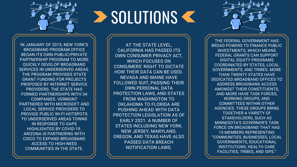AT THE STATE LEVEL, CALIFORNIA HAS PASSED ITS OWN CONSUMER PRIVACY ACT, WHICH FOCUSES ON CONSUMERS' RIGHT TO DICTATE HOW THEIR DATA CAN BE USED. NEVADA AND MAINE HAVE FOLLOWED SUIT, PASSING THEIR OWN PERSONAL DATA PROTECTION LAWS, AND STATES FROM WASHINGTON TO OKLAHOMA TO FLORIDA ARE PUSHING AHEAD WITH DATA PROTECTION LEGISLATION AS OF EARLY 2021. A NUMBER OF STATES INCLUDING NEW YORK, NEW JERSEY, MARYLAND, OREGON, AND TEXAS HAVE ALSO PASSED DATA BREACH NOTIFICATION LAWS.

## **SOLUTIONS SCI**

IN JANUARY OF 2015, NEW YORK'S BROADBAND PROGRAM OFFICE BEGAN ITS OWN PUBLIC/PRIVATE PARTNERSHIP PROGRAM TO MORE QUICKLY DEVELOP BROADBAND SERVICES IN UNDERSERVED AREAS. THE PROGRAM PROVIDES STATE GRANT FUNDING FOR PROJECTS PROPOSED BY INTERNET SERVICE PROVIDERS. THE STATE HAS FORMED PARTNERSHIPS WITH 34 COMPANIES. VERMONT PARTNERED WITH MICROSOFT AND LOCAL SERVICE PROVIDERS TO PROVIDE PUBLIC WI-FI HOTSPOTS TO UNDERSERVED AREAS TOWNS IN RESPONSE TO GAPS HIGHLIGHTED BY COVID-19. ARIZONA IS PARTNERING WITH CISCO TO EXPAND BROADBAND ACCESS TO HIGH-NEED COMMUNITIES IN THE STATE.

THE FEDERAL GOVERNMENT HAS BROAD POWERS TO FINANCE PUBLIC INVESTMENTS, WHICH MEANS FEDERAL GRANTS CAN SUPPORT DIGITAL EQUITY PROGRAMS COORDINATED BY STATES, LOCAL [GOVERNMENTS,](https://www.nga.org/center/publications/expand-affordable-broadband/) AND TRIBES. MORE THAN TWENTY STATES HAVE DEDICATED BROADBAND OFFICES TO ADDRESS BROADBAND ACCESS AMONGST THEIR CONSTITUENTS, AND MORE HAVE TASK FORCES, WORKING GROUPS, AND COMMITTEES WITHIN OTHER AGENCIES. THESE GROUPS BRING TOGETHER A VARIETY OF [STAKEHOLDERS,](https://www.pewtrusts.org/en/research-and-analysis/reports/2020/02/how-states-are-expanding-broadband-access) SUCH AS MINNESOTA'S GOVERNOR'S TASK FORCE ON BROADBAND THAT HAS 15 MEMBERS REPRESENTING "COMMUNITIES, BUSINESSES, LOCAL GOVERNMENTS, EDUCATIONAL INSTITUTIONS, HEALTH CARE FACILITIES, TRIBES, AND ISPS."